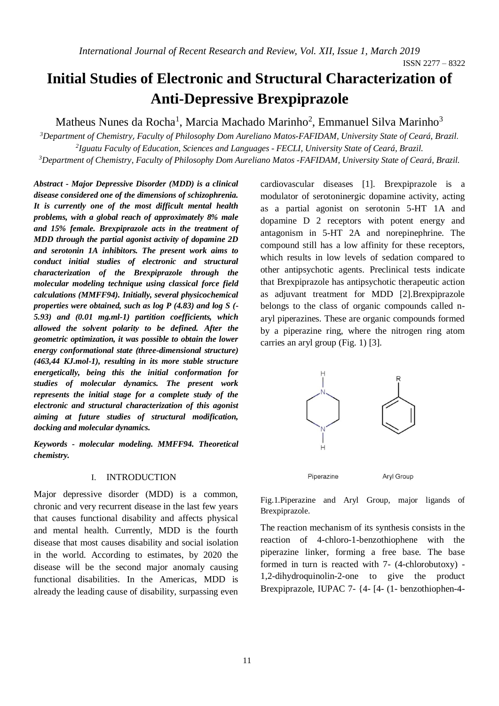# **Initial Studies of Electronic and Structural Characterization of Anti-Depressive Brexpiprazole**

Matheus Nunes da Rocha<sup>1</sup>, Marcia Machado Marinho<sup>2</sup>, Emmanuel Silva Marinho<sup>3</sup>

*<sup>3</sup>Department of Chemistry*, *Faculty of Philosophy Dom Aureliano Matos-FAFIDAM, University State of Ceará, Brazil.*

*2 Iguatu Faculty of Education, Sciences and Languages - FECLI, University State of Ceará, Brazil.*

*<sup>3</sup>Department of Chemistry, Faculty of Philosophy Dom Aureliano Matos -FAFIDAM, University State of Ceará, Brazil.*

*Abstract* **-** *Major Depressive Disorder (MDD) is a clinical disease considered one of the dimensions of schizophrenia. It is currently one of the most difficult mental health problems, with a global reach of approximately 8% male and 15% female. Brexpiprazole acts in the treatment of MDD through the partial agonist activity of dopamine 2D and serotonin 1A inhibitors. The present work aims to conduct initial studies of electronic and structural characterization of the Brexpiprazole through the molecular modeling technique using classical force field calculations (MMFF94). Initially, several physicochemical properties were obtained, such as log P (4.83) and log S (- 5.93) and (0.01 mg.ml-1) partition coefficients, which allowed the solvent polarity to be defined. After the geometric optimization, it was possible to obtain the lower energy conformational state (three-dimensional structure) (463,44 KJ.mol-1), resulting in its more stable structure energetically, being this the initial conformation for studies of molecular dynamics. The present work represents the initial stage for a complete study of the electronic and structural characterization of this agonist aiming at future studies of structural modification, docking and molecular dynamics.*

*Keywords - molecular modeling. MMFF94. Theoretical chemistry.*

#### I. INTRODUCTION

Major depressive disorder (MDD) is a common, chronic and very recurrent disease in the last few years that causes functional disability and affects physical and mental health. Currently, MDD is the fourth disease that most causes disability and social isolation in the world. According to estimates, by 2020 the disease will be the second major anomaly causing functional disabilities. In the Americas, MDD is already the leading cause of disability, surpassing even

cardiovascular diseases [1]. Brexpiprazole is a modulator of serotoninergic dopamine activity, acting as a partial agonist on serotonin 5-HT 1A and dopamine D 2 receptors with potent energy and antagonism in 5-HT 2A and norepinephrine. The compound still has a low affinity for these receptors, which results in low levels of sedation compared to other antipsychotic agents. Preclinical tests indicate that Brexpiprazole has antipsychotic therapeutic action as adjuvant treatment for MDD [2].Brexpiprazole belongs to the class of organic compounds called naryl piperazines. These are organic compounds formed by a piperazine ring, where the nitrogen ring atom carries an aryl group (Fig. 1) [3].



Fig.1.Piperazine and Aryl Group, major ligands of Brexpiprazole.

The reaction mechanism of its synthesis consists in the reaction of 4-chloro-1-benzothiophene with the piperazine linker, forming a free base. The base formed in turn is reacted with 7- (4-chlorobutoxy) - 1,2-dihydroquinolin-2-one to give the product Brexpiprazole, IUPAC 7- {4- [4- (1- benzothiophen-4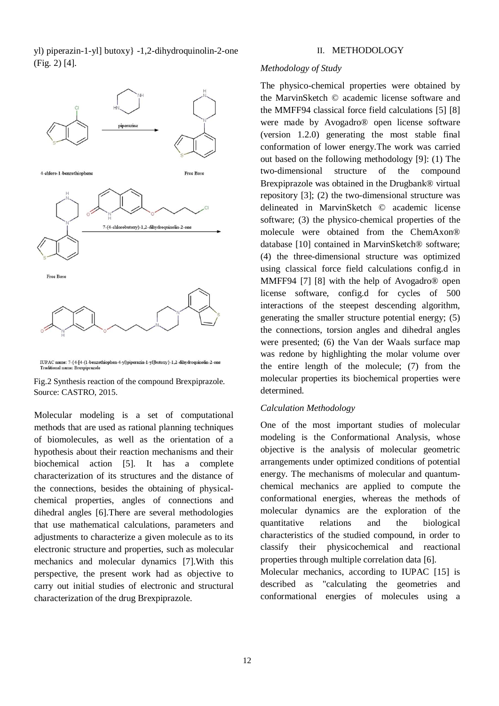yl) piperazin-1-yl] butoxy} -1,2-dihydroquinolin-2-one (Fig. 2) [4].



IUPAC name: 7-{4-[4-(1-benzothiophen-4-yl)piperazin-1-yl]butoxy}-1,2-dihydroquinolin-2-one Traditional name: Brexpiprazol

Fig.2 Synthesis reaction of the compound Brexpiprazole. Source: CASTRO, 2015.

Molecular modeling is a set of computational methods that are used as rational planning techniques of biomolecules, as well as the orientation of a hypothesis about their reaction mechanisms and their biochemical action [5]. It has a complete characterization of its structures and the distance of the connections, besides the obtaining of physicalchemical properties, angles of connections and dihedral angles [6].There are several methodologies that use mathematical calculations, parameters and adjustments to characterize a given molecule as to its electronic structure and properties, such as molecular mechanics and molecular dynamics [7].With this perspective, the present work had as objective to carry out initial studies of electronic and structural characterization of the drug Brexpiprazole.

## II. METHODOLOGY

# *Methodology of Study*

The physico-chemical properties were obtained by the MarvinSketch © academic license software and the MMFF94 classical force field calculations [5] [8] were made by Avogadro® open license software (version 1.2.0) generating the most stable final conformation of lower energy.The work was carried out based on the following methodology [9]: (1) The two-dimensional structure of the compound Brexpiprazole was obtained in the Drugbank® virtual repository [3]; (2) the two-dimensional structure was delineated in MarvinSketch © academic license software; (3) the physico-chemical properties of the molecule were obtained from the ChemAxon® database [10] contained in MarvinSketch® software; (4) the three-dimensional structure was optimized using classical force field calculations config.d in MMFF94 [7] [8] with the help of Avogadro® open license software, config.d for cycles of 500 interactions of the steepest descending algorithm, generating the smaller structure potential energy; (5) the connections, torsion angles and dihedral angles were presented; (6) the Van der Waals surface map was redone by highlighting the molar volume over the entire length of the molecule; (7) from the molecular properties its biochemical properties were determined.

# *Calculation Methodology*

One of the most important studies of molecular modeling is the Conformational Analysis, whose objective is the analysis of molecular geometric arrangements under optimized conditions of potential energy. The mechanisms of molecular and quantumchemical mechanics are applied to compute the conformational energies, whereas the methods of molecular dynamics are the exploration of the quantitative relations and the biological characteristics of the studied compound, in order to classify their physicochemical and reactional properties through multiple correlation data [6].

Molecular mechanics, according to IUPAC [15] is described as "calculating the geometries and conformational energies of molecules using a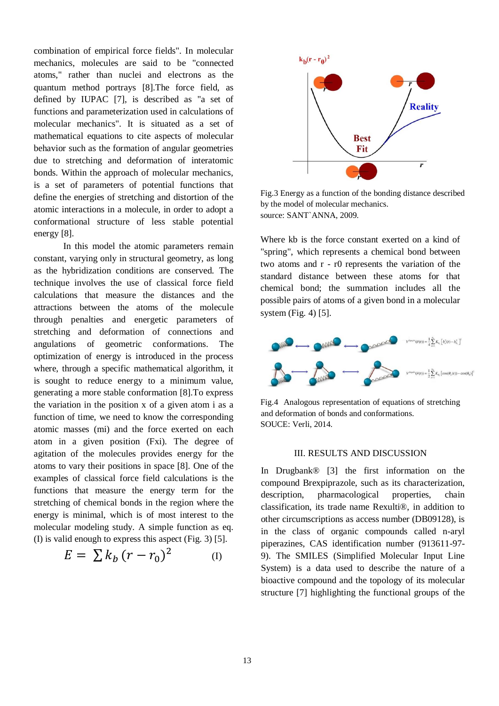combination of empirical force fields". In molecular mechanics, molecules are said to be "connected atoms," rather than nuclei and electrons as the quantum method portrays [8].The force field, as defined by IUPAC [7], is described as "a set of functions and parameterization used in calculations of molecular mechanics". It is situated as a set of mathematical equations to cite aspects of molecular behavior such as the formation of angular geometries due to stretching and deformation of interatomic bonds. Within the approach of molecular mechanics, is a set of parameters of potential functions that define the energies of stretching and distortion of the atomic interactions in a molecule, in order to adopt a conformational structure of less stable potential energy [8].

In this model the atomic parameters remain constant, varying only in structural geometry, as long as the hybridization conditions are conserved. The technique involves the use of classical force field calculations that measure the distances and the attractions between the atoms of the molecule through penalties and energetic parameters of stretching and deformation of connections and angulations of geometric conformations. The optimization of energy is introduced in the process where, through a specific mathematical algorithm, it is sought to reduce energy to a minimum value, generating a more stable conformation [8].To express the variation in the position x of a given atom i as a function of time, we need to know the corresponding atomic masses (mi) and the force exerted on each atom in a given position (Fxi). The degree of agitation of the molecules provides energy for the atoms to vary their positions in space [8]. One of the examples of classical force field calculations is the functions that measure the energy term for the stretching of chemical bonds in the region where the energy is minimal, which is of most interest to the molecular modeling study. A simple function as eq. (I) is valid enough to express this aspect (Fig. 3) [5].

$$
E = \sum k_b (r - r_0)^2
$$
 (I)



Fig.3 Energy as a function of the bonding distance described by the model of molecular mechanics. source: SANT`ANNA, 2009.

Where kb is the force constant exerted on a kind of "spring", which represents a chemical bond between two atoms and r - r0 represents the variation of the standard distance between these atoms for that chemical bond; the summation includes all the possible pairs of atoms of a given bond in a molecular system (Fig. 4) [5].



Fig.4 Analogous representation of equations of stretching and deformation of bonds and conformations. SOUCE: Verli, 2014*.*

## III. RESULTS AND DISCUSSION

In Drugbank® [3] the first information on the compound Brexpiprazole, such as its characterization, description, pharmacological properties, chain classification, its trade name Rexulti®, in addition to other circumscriptions as access number (DB09128), is in the class of organic compounds called n-aryl piperazines, CAS identification number (913611-97- 9). The SMILES (Simplified Molecular Input Line System) is a data used to describe the nature of a bioactive compound and the topology of its molecular structure [7] highlighting the functional groups of the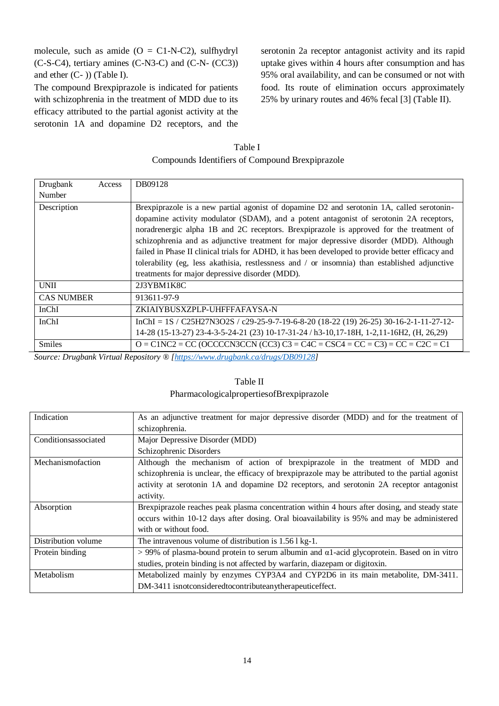molecule, such as amide  $(O = C1-N-C2)$ , sulfhydryl (C-S-C4), tertiary amines (C-N3-C) and (C-N- (CC3)) and ether (C- )) (Table I).

The compound Brexpiprazole is indicated for patients with schizophrenia in the treatment of MDD due to its efficacy attributed to the partial agonist activity at the serotonin 1A and dopamine D2 receptors, and the serotonin 2a receptor antagonist activity and its rapid uptake gives within 4 hours after consumption and has 95% oral availability, and can be consumed or not with food. Its route of elimination occurs approximately 25% by urinary routes and 46% fecal [3] (Table II).

Table I Compounds Identifiers of Compound Brexpiprazole

| Drugbank<br>Access | DB09128                                                                                           |  |  |  |  |
|--------------------|---------------------------------------------------------------------------------------------------|--|--|--|--|
| Number             |                                                                                                   |  |  |  |  |
| Description        | Brexpiprazole is a new partial agonist of dopamine D2 and serotonin 1A, called serotonin-         |  |  |  |  |
|                    | dopamine activity modulator (SDAM), and a potent antagonist of serotonin 2A receptors,            |  |  |  |  |
|                    | noradrenergic alpha 1B and 2C receptors. Brexpiprazole is approved for the treatment of           |  |  |  |  |
|                    | schizophrenia and as adjunctive treatment for major depressive disorder (MDD). Although           |  |  |  |  |
|                    | failed in Phase II clinical trials for ADHD, it has been developed to provide better efficacy and |  |  |  |  |
|                    | tolerability (eg, less akathisia, restlessness and / or insomnia) than established adjunctive     |  |  |  |  |
|                    | treatments for major depressive disorder (MDD).                                                   |  |  |  |  |
| <b>UNII</b>        | 2J3YBM1K8C                                                                                        |  |  |  |  |
| <b>CAS NUMBER</b>  | 913611-97-9                                                                                       |  |  |  |  |
| InChI              | ZKIAIYBUSXZPLP-UHFFFAFAYSA-N                                                                      |  |  |  |  |
| InChI              | $InChI = 1S / C25H27N3O2S / c29-25-9-7-19-6-8-20 (18-22 (19) 26-25) 30-16-2-1-11-27-12-$          |  |  |  |  |
|                    | 14-28 (15-13-27) 23-4-3-5-24-21 (23) 10-17-31-24 / h3-10, 17-18H, 1-2, 11-16H2, (H, 26, 29)       |  |  |  |  |
| <b>Smiles</b>      | $Q = CINC2 = CC (OCCCCNGC) (CC3) C3 = C4C = CSC4 = CC = C3) = CC = C2C = C1$                      |  |  |  |  |

*Source: Drugbank Virtual Repository ® [\[https://www.drugbank.ca/drugs/DB09128\]](https://www.drugbank.ca/drugs/DB09128)*

| Indication           | As an adjunctive treatment for major depressive disorder (MDD) and for the treatment of              |
|----------------------|------------------------------------------------------------------------------------------------------|
|                      | schizophrenia.                                                                                       |
| Conditionsassociated | Major Depressive Disorder (MDD)                                                                      |
|                      | Schizophrenic Disorders                                                                              |
| Mechanismofaction    | Although the mechanism of action of brexpiprazole in the treatment of MDD and                        |
|                      | schizophrenia is unclear, the efficacy of brexpiprazole may be attributed to the partial agonist     |
|                      | activity at serotonin 1A and dopamine D2 receptors, and serotonin 2A receptor antagonist             |
|                      | activity.                                                                                            |
| Absorption           | Brexpiprazole reaches peak plasma concentration within 4 hours after dosing, and steady state        |
|                      | occurs within 10-12 days after dosing. Oral bioavailability is 95% and may be administered           |
|                      | with or without food.                                                                                |
| Distribution volume  | The intravenous volume of distribution is 1.56 l kg-1.                                               |
| Protein binding      | $>$ 99% of plasma-bound protein to serum albumin and $\alpha$ 1-acid glycoprotein. Based on in vitro |
|                      | studies, protein binding is not affected by warfarin, diazepam or digitoxin.                         |
| Metabolism           | Metabolized mainly by enzymes CYP3A4 and CYP2D6 in its main metabolite, DM-3411.                     |
|                      | DM-3411 is not considered to contribute any the rape utice ffect.                                    |

# Table II PharmacologicalpropertiesofBrexpiprazole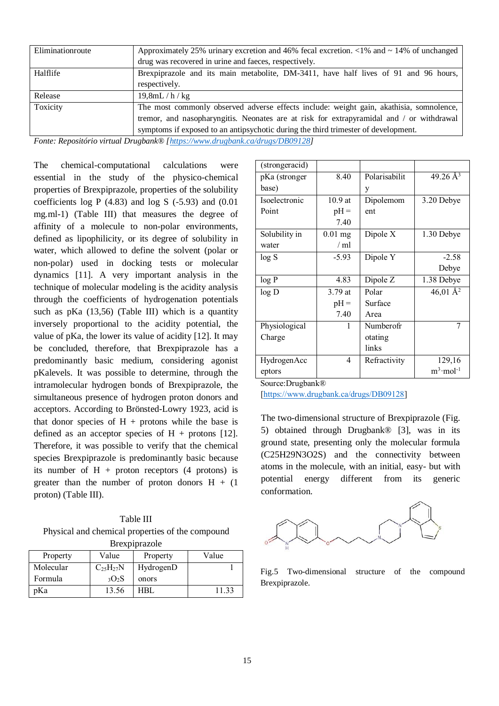| Approximately 25% urinary excretion and 46% fecal excretion. $\langle 1\% \rangle$ and $\sim 14\%$ of unchanged |
|-----------------------------------------------------------------------------------------------------------------|
| drug was recovered in urine and faeces, respectively.                                                           |
| Brexpiprazole and its main metabolite, DM-3411, have half lives of 91 and 96 hours,                             |
| respectively.                                                                                                   |
| 19,8mL/h/kg                                                                                                     |
| The most commonly observed adverse effects include: weight gain, akathisia, somnolence,                         |
| tremor, and nasopharyngitis. Neonates are at risk for extrapyramidal and / or withdrawal                        |
| symptoms if exposed to an antipsychotic during the third trimester of development.                              |
| $1.7 \t1.10 \t1.1 \t1.1 \t1.1 \t1.10001001$                                                                     |

*Fonte: Repositório virtual Drugbank® [\[https://www.drugbank.ca/drugs/DB09128\]](https://www.drugbank.ca/drugs/DB09128)*

The chemical-computational calculations were essential in the study of the physico-chemical properties of Brexpiprazole, properties of the solubility coefficients  $log P$  (4.83) and  $log S$  (-5.93) and (0.01 mg.ml-1) (Table III) that measures the degree of affinity of a molecule to non-polar environments, defined as lipophilicity, or its degree of solubility in water, which allowed to define the solvent (polar or non-polar) used in docking tests or molecular dynamics [11]. A very important analysis in the technique of molecular modeling is the acidity analysis through the coefficients of hydrogenation potentials such as  $pKa$  (13,56) (Table III) which is a quantity inversely proportional to the acidity potential, the value of pKa, the lower its value of acidity [12]. It may be concluded, therefore, that Brexpiprazole has a predominantly basic medium, considering agonist pKalevels. It was possible to determine, through the intramolecular hydrogen bonds of Brexpiprazole, the simultaneous presence of hydrogen proton donors and acceptors. According to Brönsted-Lowry 1923, acid is that donor species of  $H +$  protons while the base is defined as an acceptor species of  $H +$  protons [12]. Therefore, it was possible to verify that the chemical species Brexpiprazole is predominantly basic because its number of  $H +$  proton receptors (4 protons) is greater than the number of proton donors  $H + (1$ proton) (Table III).

Table III Physical and chemical properties of the compound **Brexpiprazole** 

| Property  | Value             | Property  | Value |  |  |  |  |  |
|-----------|-------------------|-----------|-------|--|--|--|--|--|
| Molecular | $C_{25}H_{27}N$   | HydrogenD |       |  |  |  |  |  |
| Formula   | 3O <sub>2</sub> S | onors     |       |  |  |  |  |  |
| pKa       | 13.56             | HBL       | 11.33 |  |  |  |  |  |

| (strongeracid) |           |               |                          |
|----------------|-----------|---------------|--------------------------|
| pKa (stronger  | 8.40      | Polarisabilit | 49.26 $A^3$              |
| base)          |           | y             |                          |
| Isoelectronic  | 10.9at    | Dipolemom     | 3.20 Debye               |
| Point          | $pH =$    | ent           |                          |
|                | 7.40      |               |                          |
| Solubility in  | $0.01$ mg | Dipole X      | 1.30 Debye               |
| water          | /ml       |               |                          |
| log S          | $-5.93$   | Dipole Y      | $-2.58$                  |
|                |           |               | Debye                    |
| log P          | 4.83      | Dipole Z      | 1.38 Debye               |
| log D          | 3.79 at   | Polar         | 46,01 $\AA$ <sup>2</sup> |
|                | $pH =$    | Surface       |                          |
|                | 7.40      | Area          |                          |
| Physiological  | 1         | Numberofr     | 7                        |
| Charge         |           | otating       |                          |
|                |           | links         |                          |
| HydrogenAcc    | 4         | Refractivity  | 129,16                   |
| eptors         |           |               | $m^3$ ·mol <sup>-1</sup> |

Source:Drugbank®

[\[https://www.drugbank.ca/drugs/DB09128\]](https://www.drugbank.ca/drugs/DB09128)

The two-dimensional structure of Brexpiprazole (Fig. 5) obtained through Drugbank® [3], was in its ground state, presenting only the molecular formula (C25H29N3O2S) and the connectivity between atoms in the molecule, with an initial, easy- but with potential energy different from its generic conformation.



Fig.5 Two-dimensional structure of the compound Brexpiprazole.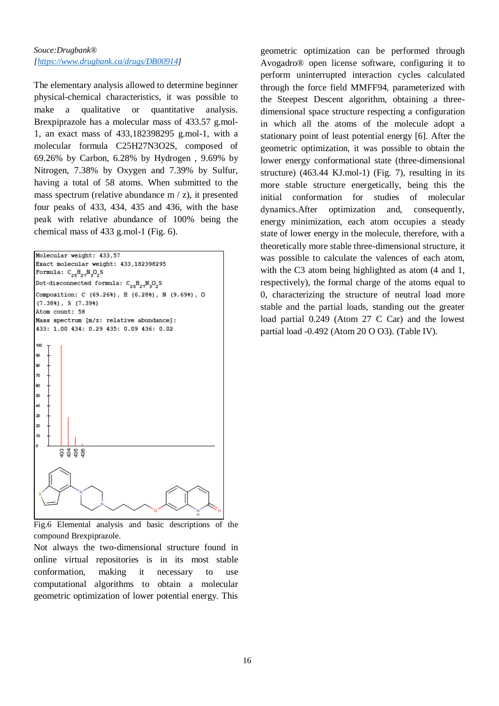# *Souce:Drugbank® [\[https://www.drugbank.ca/drugs/DB00914\]](https://www.drugbank.ca/drugs/DB00914)*

The elementary analysis allowed to determine beginner physical-chemical characteristics, it was possible to make a qualitative or quantitative analysis. Brexpiprazole has a molecular mass of 433.57 g.mol-1, an exact mass of 433,182398295 g.mol-1, with a molecular formula C25H27N3O2S, composed of 69.26% by Carbon, 6.28% by Hydrogen , 9.69% by Nitrogen, 7.38% by Oxygen and 7.39% by Sulfur, having a total of 58 atoms. When submitted to the mass spectrum (relative abundance  $m / z$ ), it presented four peaks of 433, 434, 435 and 436, with the base peak with relative abundance of 100% being the chemical mass of 433 g.mol-1 (Fig. 6).



Fig.6 Elemental analysis and basic descriptions of the compound Brexpiprazole.

Not always the two-dimensional structure found in online virtual repositories is in its most stable conformation, making it necessary to use computational algorithms to obtain a molecular geometric optimization of lower potential energy. This

geometric optimization can be performed through Avogadro® open license software, configuring it to perform uninterrupted interaction cycles calculated through the force field MMFF94, parameterized with the Steepest Descent algorithm, obtaining a threedimensional space structure respecting a configuration in which all the atoms of the molecule adopt a stationary point of least potential energy [6]. After the geometric optimization, it was possible to obtain the lower energy conformational state (three-dimensional structure) (463.44 KJ.mol-1) (Fig. 7), resulting in its more stable structure energetically, being this the initial conformation for studies of molecular dynamics.After optimization and, consequently, energy minimization, each atom occupies a steady state of lower energy in the molecule, therefore, with a theoretically more stable three-dimensional structure, it was possible to calculate the valences of each atom, with the C3 atom being highlighted as atom (4 and 1, respectively), the formal charge of the atoms equal to 0, characterizing the structure of neutral load more stable and the partial loads, standing out the greater load partial 0.249 (Atom 27 C Car) and the lowest partial load -0.492 (Atom 20 O O3). (Table IV).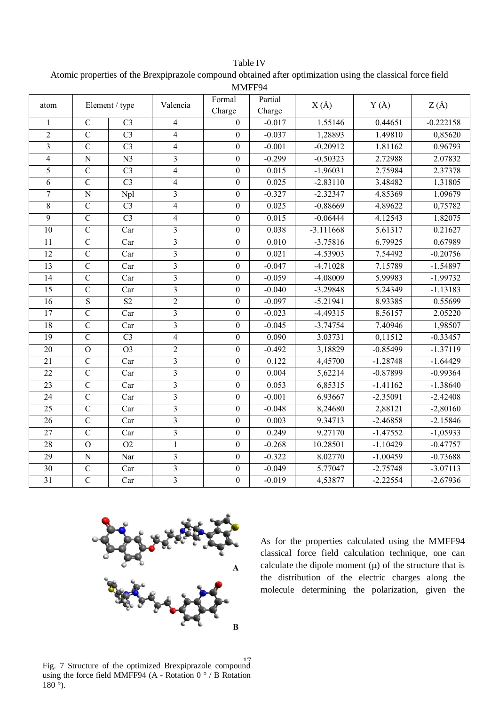| 1711711 1 <del>/ T</del> |                |                 |                |                  |          |                      |            |             |
|--------------------------|----------------|-----------------|----------------|------------------|----------|----------------------|------------|-------------|
| Element / type<br>atom   |                | Valencia        | Formal         | Partial          | $X(\AA)$ | $Y(\AA)$             | $Z(\AA)$   |             |
|                          |                |                 |                | Charge           | Charge   |                      |            |             |
| 1                        | $\mathbf C$    | C <sub>3</sub>  | $\overline{4}$ | $\overline{0}$   | $-0.017$ | 1.55146              | 0.44651    | $-0.222158$ |
| $\overline{c}$           | $\overline{C}$ | $\overline{C}3$ | $\overline{4}$ | $\overline{0}$   | $-0.037$ | 1,28893              | 1.49810    | 0,85620     |
| $\overline{3}$           | $\overline{C}$ | $\overline{C}3$ | $\overline{4}$ | $\boldsymbol{0}$ | $-0.001$ | $-0.20912$           | 1.81162    | 0.96793     |
| $\overline{4}$           | $\mathbf N$    | N3              | 3              | $\boldsymbol{0}$ | $-0.299$ | $-0.50323$           | 2.72988    | 2.07832     |
| 5                        | $\mathbf C$    | C <sub>3</sub>  | $\overline{4}$ | $\boldsymbol{0}$ | 0.015    | $-1.96031$           | 2.75984    | 2.37378     |
| 6                        | $\overline{C}$ | $\overline{C}3$ | $\overline{4}$ | $\boldsymbol{0}$ | 0.025    | $-2.83110$           | 3.48482    | 1,31805     |
| $\overline{7}$           | $\overline{N}$ | Npl             | 3              | $\boldsymbol{0}$ | $-0.327$ | $-2.32347$           | 4.85369    | 1.09679     |
| $\overline{8}$           | $\overline{C}$ | $\overline{C3}$ | $\overline{4}$ | $\boldsymbol{0}$ | 0.025    | $-0.88669$           | 4.89622    | 0,75782     |
| 9                        | $\overline{C}$ | $\overline{C}3$ | $\overline{4}$ | $\overline{0}$   | 0.015    | $-0.06444$           | 4.12543    | 1.82075     |
| $\overline{10}$          | $\overline{C}$ | Car             | 3              | $\boldsymbol{0}$ | 0.038    | $-3.111668$          | 5.61317    | 0.21627     |
| $\overline{11}$          | $\overline{C}$ | Car             | 3              | $\boldsymbol{0}$ | 0.010    | $-3.75816$           | 6.79925    | 0,67989     |
| 12                       | $\mathbf C$    | Car             | 3              | $\boldsymbol{0}$ | 0.021    | -4.53903             | 7.54492    | $-0.20756$  |
| 13                       | $\mathbf C$    | Car             | 3              | $\boldsymbol{0}$ | $-0.047$ | $-4.71028$           | 7.15789    | $-1.54897$  |
| 14                       | $\overline{C}$ | Car             | $\overline{3}$ | $\boldsymbol{0}$ | $-0.059$ | $-4.08009$           | 5.99983    | $-1.99732$  |
| $\overline{15}$          | $\overline{C}$ | Car             | 3              | $\overline{0}$   | $-0.040$ | $-3.29848$           | 5.24349    | $-1.13183$  |
| $\overline{16}$          | $\overline{S}$ | S <sub>2</sub>  | $\overline{2}$ | $\boldsymbol{0}$ | $-0.097$ | $-5.21941$           | 8.93385    | 0.55699     |
| 17                       | $\overline{C}$ | Car             | 3              | $\overline{0}$   | $-0.023$ | $-4.49315$           | 8.56157    | 2.05220     |
| 18                       | $\overline{C}$ | Car             | 3              | $\boldsymbol{0}$ | $-0.045$ | $-3.74754$           | 7.40946    | 1,98507     |
| $\overline{19}$          | $\overline{C}$ | C <sub>3</sub>  | $\overline{4}$ | $\boldsymbol{0}$ | 0.090    | 3.03731              | 0,11512    | $-0.33457$  |
| $20\,$                   | $\mathcal{O}$  | O <sub>3</sub>  | $\mathfrak{2}$ | $\boldsymbol{0}$ | $-0.492$ | 3,18829              | $-0.85499$ | $-1.37119$  |
| $\overline{21}$          | $\overline{C}$ | Car             | 3              | $\overline{0}$   | 0.122    | 4,45700              | $-1.28748$ | $-1.64429$  |
| $\overline{22}$          | $\overline{C}$ | Car             | $\overline{3}$ | $\overline{0}$   | 0.004    | 5,62214              | $-0.87899$ | $-0.99364$  |
| $\overline{23}$          | $\overline{C}$ | Car             | 3              | $\boldsymbol{0}$ | 0.053    | 6,85315              | $-1.41162$ | $-1.38640$  |
| $\overline{24}$          | $\mathbf C$    | Car             | 3              | $\boldsymbol{0}$ | $-0.001$ | 6.93667              | $-2.35091$ | $-2.42408$  |
| $\overline{25}$          | $\overline{C}$ | Car             | 3              | $\boldsymbol{0}$ | $-0.048$ | 8,24680              | 2,88121    | $-2,80160$  |
| $\overline{26}$          | $\overline{C}$ | Car             | 3              | $\boldsymbol{0}$ | 0.003    | $\overline{9.34713}$ | $-2.46858$ | $-2.15846$  |
| 27                       | $\overline{C}$ | Car             | 3              | $\boldsymbol{0}$ | 0.249    | 9.27170              | $-1.47552$ | $-1,05933$  |
| 28                       | $\mathcal{O}$  | O2              | $\mathbf{1}$   | $\boldsymbol{0}$ | $-0.268$ | 10.28501             | $-1.10429$ | $-0.47757$  |
| 29                       | ${\bf N}$      | Nar             | 3              | $\mathbf{0}$     | $-0.322$ | 8.02770              | $-1.00459$ | $-0.73688$  |
| 30                       | $\overline{C}$ | Car             | $\overline{3}$ | $\boldsymbol{0}$ | $-0.049$ | 5.77047              | $-2.75748$ | $-3.07113$  |
| $\overline{31}$          | $\overline{C}$ | Car             | 3              | $\overline{0}$   | $-0.019$ | 4,53877              | $-2.22554$ | $-2,67936$  |

Table IV Atomic properties of the Brexpiprazole compound obtained after optimization using the classical force field MMFF94



As for the properties calculated using the MMFF94 classical force field calculation technique, one can calculate the dipole moment  $(\mu)$  of the structure that is the distribution of the electric charges along the molecule determining the polarization, given the

17 Fig. 7 Structure of the optimized Brexpiprazole compound using the force field MMFF94 (A - Rotation 0 ° / B Rotation  $180^{\circ}$ ).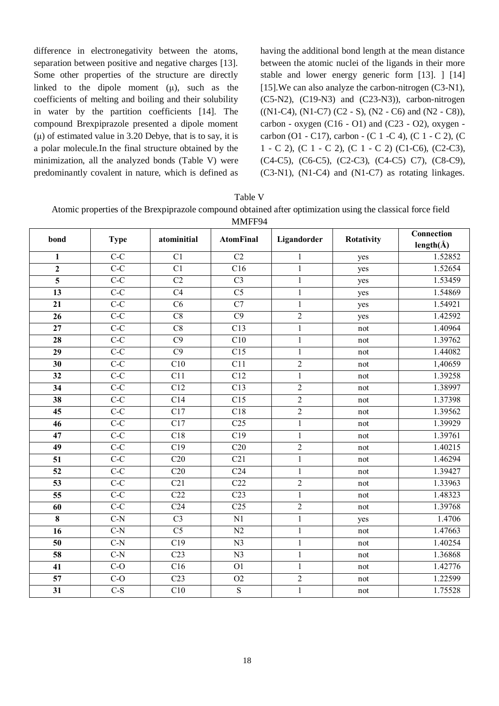difference in electronegativity between the atoms, separation between positive and negative charges [13]. Some other properties of the structure are directly linked to the dipole moment  $(\mu)$ , such as the coefficients of melting and boiling and their solubility in water by the partition coefficients [14]. The compound Brexpiprazole presented a dipole moment (μ) of estimated value in 3.20 Debye, that is to say, it is a polar molecule.In the final structure obtained by the minimization, all the analyzed bonds (Table V) were predominantly covalent in nature, which is defined as

having the additional bond length at the mean distance between the atomic nuclei of the ligands in their more stable and lower energy generic form [13]. ] [14] [15].We can also analyze the carbon-nitrogen (C3-N1), (C5-N2), (C19-N3) and (C23-N3)), carbon-nitrogen  $((N1-C4), (N1-C7) (C2 - S), (N2 - C6)$  and  $(N2 - C8)$ ), carbon - oxygen  $(C16 - O1)$  and  $(C23 - O2)$ , oxygen carbon (O1 - C17), carbon - (C 1 -C 4), (C 1 - C 2), (C 1 - C 2), (C 1 - C 2), (C 1 - C 2) (C1-C6), (C2-C3), (C4-C5), (C6-C5), (C2-C3), (C4-C5) C7), (C8-C9), (C3-N1), (N1-C4) and (N1-C7) as rotating linkages.

| 'able |  |
|-------|--|
|-------|--|

Atomic properties of the Brexpiprazole compound obtained after optimization using the classical force field MMFF94

| bond            | <b>Type</b>      | atominitial            | <b>AtomFinal</b>       | Ligandorder    | Rotativity | Connection     |
|-----------------|------------------|------------------------|------------------------|----------------|------------|----------------|
|                 |                  |                        |                        |                |            | length $(\AA)$ |
| 1               | $C-C$            | C1                     | C2                     | 1              | yes        | 1.52852        |
| $\overline{2}$  | $\overline{C-C}$ | $\overline{C1}$        | $\overline{C16}$       | $\mathbf{1}$   | yes        | 1.52654        |
| 5               | $\overline{C-C}$ | C2                     | C <sub>3</sub>         | $\mathbf{1}$   | yes        | 1.53459        |
| $\overline{13}$ | $C-C$            | $\overline{C4}$        | $\overline{\text{C5}}$ | $\mathbf{1}$   | yes        | 1.54869        |
| 21              | $C-C$            | C6                     | $\overline{C7}$        | $\mathbf{1}$   | yes        | 1.54921        |
| 26              | $\overline{C-C}$ | $\overline{C8}$        | $\overline{C9}$        | $\overline{2}$ | yes        | 1.42592        |
| 27              | $C-C$            | $\overline{C8}$        | C13                    | $\overline{1}$ | not        | 1.40964        |
| 28              | $\overline{C-C}$ | C9                     | C10                    | $\mathbf{1}$   | not        | 1.39762        |
| 29              | $C-C$            | C9                     | $\overline{C15}$       | $\mathbf{1}$   | not        | 1.44082        |
| 30              | $C-C$            | C10                    | C11                    | $\overline{c}$ | not        | 1,40659        |
| 32              | $\overline{C-C}$ | C11                    | C12                    | $\mathbf{1}$   | not        | 1.39258        |
| $\overline{34}$ | $C-C$            | C12                    | C13                    | $\overline{2}$ | not        | 1.38997        |
| 38              | $C-C$            | C14                    | C15                    | $\overline{c}$ | not        | 1.37398        |
| 45              | $C-C$            | $\overline{C17}$       | $\overline{C18}$       | $\overline{2}$ | not        | 1.39562        |
| 46              | $C-C$            | C17                    | $\overline{C25}$       | $\,1$          | not        | 1.39929        |
| 47              | $\overline{C-C}$ | $\overline{C18}$       | $\overline{C19}$       | $\,1$          | not        | 1.39761        |
| 49              | $C-C$            | C19                    | C20                    | $\overline{2}$ | not        | 1.40215        |
| 51              | $\overline{C-C}$ | C20                    | C21                    | $\mathbf{1}$   | not        | 1.46294        |
| 52              | $\overline{C-C}$ | $\overline{C20}$       | $\overline{C24}$       | $\,1$          | not        | 1.39427        |
| 53              | $\overline{C-C}$ | C21                    | C22                    | $\overline{c}$ | not        | 1.33963        |
| 55              | $\overline{C-C}$ | C22                    | C <sub>23</sub>        | $\,1$          | not        | 1.48323        |
| $\overline{60}$ | $C-C$            | C <sub>24</sub>        | C25                    | $\overline{2}$ | not        | 1.39768        |
| 8               | $C-N$            | C <sub>3</sub>         | N1                     | $\mathbf{1}$   | yes        | 1.4706         |
| $\overline{16}$ | $\overline{C-N}$ | $\overline{\text{C5}}$ | $\overline{N2}$        | $\mathbf{1}$   | not        | 1.47663        |
| $\overline{50}$ | $\overline{C-N}$ | $\overline{C19}$       | $\overline{N3}$        | $\,1$          | not        | 1.40254        |
| 58              | $C-N$            | C <sub>23</sub>        | N <sub>3</sub>         | $\,1$          | not        | 1.36868        |
| 41              | $\overline{C-O}$ | $\overline{C16}$       | $\overline{O1}$        | $\mathbf{1}$   | not        | 1.42776        |
| 57              | $C-O$            | C <sub>23</sub>        | O2                     | $\overline{c}$ | not        | 1.22599        |
| 31              | $\overline{C-S}$ | $\overline{C10}$       | $\overline{S}$         | $\mathbf{1}$   | not        | 1.75528        |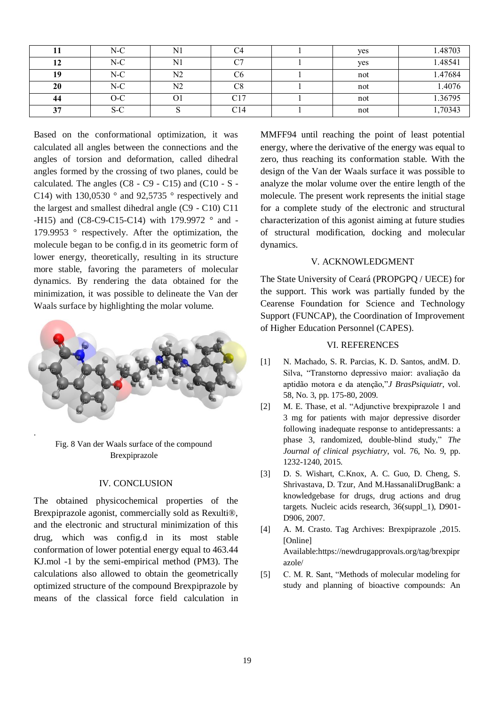|    | $N-C$ | N1             | $\mathord{\cap}$ $\Lambda$ | yes | 1.48703 |
|----|-------|----------------|----------------------------|-----|---------|
| 12 | $N-C$ | N1             | $\sim$                     | yes | 1.48541 |
| 19 | $N-C$ | N2             | C6                         | not | 1.47684 |
| 20 | $N-C$ | N <sub>2</sub> | C8                         | not | 1.4076  |
| 44 | $O-C$ | O1             | C17                        | not | 1.36795 |
| 37 | S-C   |                | C14                        | not | 1,70343 |

Based on the conformational optimization, it was calculated all angles between the connections and the angles of torsion and deformation, called dihedral angles formed by the crossing of two planes, could be calculated. The angles  $(C8 - C9 - C15)$  and  $(C10 - S - C15)$ C14) with 130,0530  $\degree$  and 92,5735  $\degree$  respectively and the largest and smallest dihedral angle (C9 - C10) C11 -H15) and (C8-C9-C15-C14) with 179.9972 ° and -179.9953 ° respectively. After the optimization, the molecule began to be config.d in its geometric form of lower energy, theoretically, resulting in its structure more stable, favoring the parameters of molecular dynamics. By rendering the data obtained for the minimization, it was possible to delineate the Van der Waals surface by highlighting the molar volume.



Fig. 8 Van der Waals surface of the compound Brexpiprazole

.

# IV. CONCLUSION

The obtained physicochemical properties of the Brexpiprazole agonist, commercially sold as Rexulti®, and the electronic and structural minimization of this drug, which was config.d in its most stable conformation of lower potential energy equal to 463.44 KJ.mol -1 by the semi-empirical method (PM3). The calculations also allowed to obtain the geometrically optimized structure of the compound Brexpiprazole by means of the classical force field calculation in MMFF94 until reaching the point of least potential energy, where the derivative of the energy was equal to zero, thus reaching its conformation stable. With the design of the Van der Waals surface it was possible to analyze the molar volume over the entire length of the molecule. The present work represents the initial stage for a complete study of the electronic and structural characterization of this agonist aiming at future studies of structural modification, docking and molecular dynamics.

## V. ACKNOWLEDGMENT

The State University of Ceará (PROPGPQ / UECE) for the support. This work was partially funded by the Cearense Foundation for Science and Technology Support (FUNCAP), the Coordination of Improvement of Higher Education Personnel (CAPES).

### VI. REFERENCES

- [1] N. Machado, S. R. Parcias, K. D. Santos, andM. D. Silva, "Transtorno depressivo maior: avaliação da aptidão motora e da atenção,"*J BrasPsiquiatr*, vol. 58, No. 3, pp. 175-80, 2009.
- [2] M. E. Thase, et al. "Adjunctive brexpiprazole 1 and 3 mg for patients with major depressive disorder following inadequate response to antidepressants: a phase 3, randomized, double-blind study," *The Journal of clinical psychiatry*, vol. 76, No. 9, pp. 1232-1240, 2015.
- [3] D. S. Wishart, C.Knox, A. C. Guo, D. Cheng, S. Shrivastava, D. Tzur, And M.HassanaliDrugBank: a knowledgebase for drugs, drug actions and drug targets. Nucleic acids research, 36(suppl\_1), D901- D906, 2007.
- [4] A. M. Crasto. Tag Archives: Brexpiprazole ,2015. [Online] Availabl[e:https://newdrugapprovals.org/tag/brexpipr](https://newdrugapprovals.org/tag/brexpiprazole/) [azole/](https://newdrugapprovals.org/tag/brexpiprazole/)
- [5] C. M. R. Sant, "Methods of molecular modeling for study and planning of bioactive compounds: An